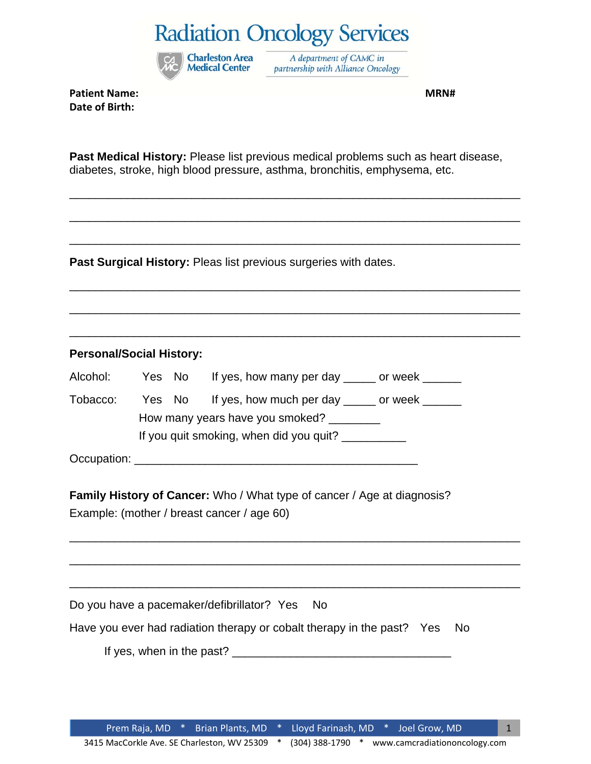

A department of CAMC in partnership with Alliance Oncology

**Patient Name: MRN# Date of Birth:**

**Past Medical History:** Please list previous medical problems such as heart disease, diabetes, stroke, high blood pressure, asthma, bronchitis, emphysema, etc.

\_\_\_\_\_\_\_\_\_\_\_\_\_\_\_\_\_\_\_\_\_\_\_\_\_\_\_\_\_\_\_\_\_\_\_\_\_\_\_\_\_\_\_\_\_\_\_\_\_\_\_\_\_\_\_\_\_\_\_\_\_\_\_\_\_\_\_\_\_\_

\_\_\_\_\_\_\_\_\_\_\_\_\_\_\_\_\_\_\_\_\_\_\_\_\_\_\_\_\_\_\_\_\_\_\_\_\_\_\_\_\_\_\_\_\_\_\_\_\_\_\_\_\_\_\_\_\_\_\_\_\_\_\_\_\_\_\_\_\_\_

\_\_\_\_\_\_\_\_\_\_\_\_\_\_\_\_\_\_\_\_\_\_\_\_\_\_\_\_\_\_\_\_\_\_\_\_\_\_\_\_\_\_\_\_\_\_\_\_\_\_\_\_\_\_\_\_\_\_\_\_\_\_\_\_\_\_\_\_\_\_

\_\_\_\_\_\_\_\_\_\_\_\_\_\_\_\_\_\_\_\_\_\_\_\_\_\_\_\_\_\_\_\_\_\_\_\_\_\_\_\_\_\_\_\_\_\_\_\_\_\_\_\_\_\_\_\_\_\_\_\_\_\_\_\_\_\_\_\_\_\_

\_\_\_\_\_\_\_\_\_\_\_\_\_\_\_\_\_\_\_\_\_\_\_\_\_\_\_\_\_\_\_\_\_\_\_\_\_\_\_\_\_\_\_\_\_\_\_\_\_\_\_\_\_\_\_\_\_\_\_\_\_\_\_\_\_\_\_\_\_\_

\_\_\_\_\_\_\_\_\_\_\_\_\_\_\_\_\_\_\_\_\_\_\_\_\_\_\_\_\_\_\_\_\_\_\_\_\_\_\_\_\_\_\_\_\_\_\_\_\_\_\_\_\_\_\_\_\_\_\_\_\_\_\_\_\_\_\_\_\_\_

\_\_\_\_\_\_\_\_\_\_\_\_\_\_\_\_\_\_\_\_\_\_\_\_\_\_\_\_\_\_\_\_\_\_\_\_\_\_\_\_\_\_\_\_\_\_\_\_\_\_\_\_\_\_\_\_\_\_\_\_\_\_\_\_\_\_\_\_\_\_

\_\_\_\_\_\_\_\_\_\_\_\_\_\_\_\_\_\_\_\_\_\_\_\_\_\_\_\_\_\_\_\_\_\_\_\_\_\_\_\_\_\_\_\_\_\_\_\_\_\_\_\_\_\_\_\_\_\_\_\_\_\_\_\_\_\_\_\_\_\_

\_\_\_\_\_\_\_\_\_\_\_\_\_\_\_\_\_\_\_\_\_\_\_\_\_\_\_\_\_\_\_\_\_\_\_\_\_\_\_\_\_\_\_\_\_\_\_\_\_\_\_\_\_\_\_\_\_\_\_\_\_\_\_\_\_\_\_\_\_\_

**Past Surgical History:** Pleas list previous surgeries with dates.

### **Personal/Social History:**

| Alcohol:                        | Yes No |                                         | If yes, how many per day ______ or week ______      |  |  |  |  |  |  |
|---------------------------------|--------|-----------------------------------------|-----------------------------------------------------|--|--|--|--|--|--|
| Tobacco:                        |        |                                         | Yes No If yes, how much per day _____ or week _____ |  |  |  |  |  |  |
| How many years have you smoked? |        |                                         |                                                     |  |  |  |  |  |  |
|                                 |        | If you quit smoking, when did you quit? |                                                     |  |  |  |  |  |  |
|                                 |        |                                         |                                                     |  |  |  |  |  |  |

Occupation: \_\_\_\_\_\_\_\_\_\_\_\_\_\_\_\_\_\_\_\_\_\_\_\_\_\_\_\_\_\_\_\_\_\_\_\_\_\_\_\_\_\_\_\_

| <b>Family History of Cancer:</b> Who / What type of cancer / Age at diagnosis? |
|--------------------------------------------------------------------------------|
| Example: (mother / breast cancer / age 60)                                     |

Do you have a pacemaker/defibrillator? Yes No

Have you ever had radiation therapy or cobalt therapy in the past? Yes No

If yes, when in the past?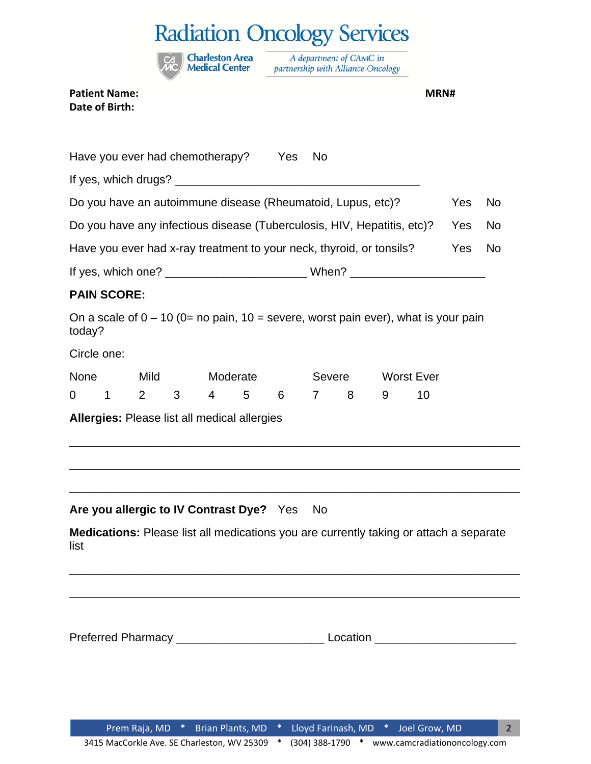**Charleston Area**<br>**Medical Center** 

A department of CAMC in partnership with Alliance Oncology

#### **Patient Name: MRN# Date of Birth:**

|                                                                         |                    |                |   |           | Have you ever had chemotherapy? Yes          |   | <b>No</b>      |   |   |                                                                                                                       |           |  |
|-------------------------------------------------------------------------|--------------------|----------------|---|-----------|----------------------------------------------|---|----------------|---|---|-----------------------------------------------------------------------------------------------------------------------|-----------|--|
|                                                                         |                    |                |   |           |                                              |   |                |   |   |                                                                                                                       |           |  |
| Do you have an autoimmune disease (Rheumatoid, Lupus, etc)?             |                    |                |   |           |                                              |   |                |   |   | Yes                                                                                                                   | <b>No</b> |  |
| Do you have any infectious disease (Tuberculosis, HIV, Hepatitis, etc)? |                    |                |   |           |                                              |   |                |   |   | Yes                                                                                                                   | <b>No</b> |  |
| Have you ever had x-ray treatment to your neck, thyroid, or tonsils?    |                    |                |   |           |                                              |   |                |   |   | Yes                                                                                                                   | <b>No</b> |  |
|                                                                         |                    |                |   |           |                                              |   |                |   |   |                                                                                                                       |           |  |
|                                                                         | <b>PAIN SCORE:</b> |                |   |           |                                              |   |                |   |   |                                                                                                                       |           |  |
| today?                                                                  |                    |                |   |           |                                              |   |                |   |   | On a scale of $0 - 10$ (0= no pain, 10 = severe, worst pain ever), what is your pain                                  |           |  |
| Circle one:                                                             |                    |                |   |           |                                              |   |                |   |   |                                                                                                                       |           |  |
| <b>None</b>                                                             |                    | Mild           |   |           | Moderate                                     |   | Severe         |   |   | <b>Worst Ever</b>                                                                                                     |           |  |
| $\Omega$                                                                | 1                  | $\overline{2}$ | 3 | $4 \quad$ | 5                                            | 6 | $\overline{7}$ | 8 | 9 | 10                                                                                                                    |           |  |
|                                                                         |                    |                |   |           | Allergies: Please list all medical allergies |   |                |   |   |                                                                                                                       |           |  |
|                                                                         |                    |                |   |           | Are you allergic to IV Contrast Dye? Yes     |   | No.            |   |   | <u> 1989 - Johann Harry Harry Harry Harry Harry Harry Harry Harry Harry Harry Harry Harry Harry Harry Harry Harry</u> |           |  |
| list                                                                    |                    |                |   |           |                                              |   |                |   |   | Medications: Please list all medications you are currently taking or attach a separate                                |           |  |
|                                                                         |                    |                |   |           |                                              |   |                |   |   |                                                                                                                       |           |  |
|                                                                         |                    |                |   |           |                                              |   |                |   |   |                                                                                                                       |           |  |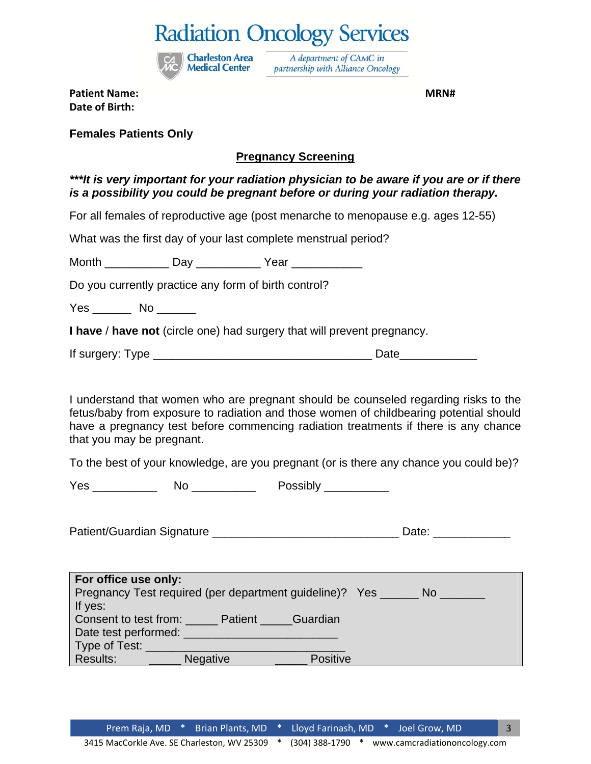

A department of CAMC in partnership with Alliance Oncology

**Patient Name: MRN# Date of Birth:**

**Females Patients Only** 

### **Pregnancy Screening**

*\*\*\*It is very important for your radiation physician to be aware if you are or if there is a possibility you could be pregnant before or during your radiation therapy.* 

For all females of reproductive age (post menarche to menopause e.g. ages 12-55)

What was the first day of your last complete menstrual period?

Month \_\_\_\_\_\_\_\_\_\_ Day \_\_\_\_\_\_\_\_\_\_ Year \_\_\_\_\_\_\_\_\_\_\_

Do you currently practice any form of birth control?

Yes \_\_\_\_\_\_\_\_ No \_\_\_\_\_\_\_

**I have** / **have not** (circle one) had surgery that will prevent pregnancy.

If surgery: Type \_\_\_\_\_\_\_\_\_\_\_\_\_\_\_\_\_\_\_\_\_\_\_\_\_\_\_\_\_\_\_\_\_\_ Date\_\_\_\_\_\_\_\_\_\_\_\_

I understand that women who are pregnant should be counseled regarding risks to the fetus/baby from exposure to radiation and those women of childbearing potential should have a pregnancy test before commencing radiation treatments if there is any chance that you may be pregnant.

To the best of your knowledge, are you pregnant (or is there any chance you could be)?

Yes \_\_\_\_\_\_\_\_\_\_ No \_\_\_\_\_\_\_\_\_\_ Possibly \_\_\_\_\_\_\_\_\_\_

Patient/Guardian Signature **Example 2018** Date:

| For office use only:                                                  |                     |  |  |  |  |  |  |
|-----------------------------------------------------------------------|---------------------|--|--|--|--|--|--|
| Pregnancy Test required (per department guideline)? Yes ____<br>/No 7 |                     |  |  |  |  |  |  |
| If yes:                                                               |                     |  |  |  |  |  |  |
| Consent to test from:                                                 | Patient<br>Guardian |  |  |  |  |  |  |
| Date test performed:                                                  |                     |  |  |  |  |  |  |
| Type of Test:                                                         |                     |  |  |  |  |  |  |
| Results:<br><b>Negative</b>                                           | <b>Positive</b>     |  |  |  |  |  |  |